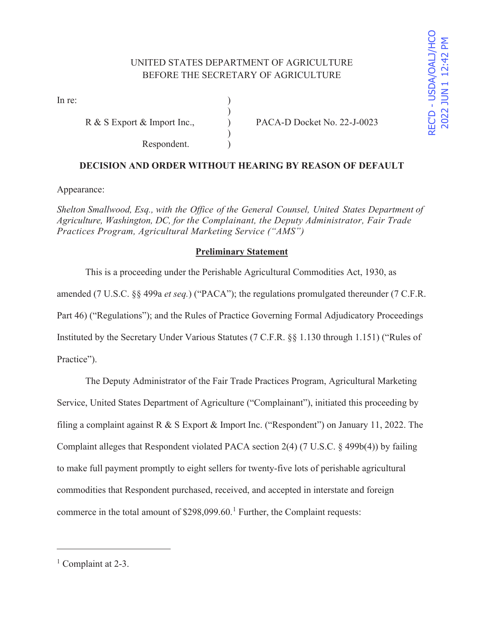In re:  $\qquad \qquad$  )

Respondent.

R & S Export & Import Inc.,  $PACA-D Docket No. 22-J-0023$ 

# **DECISION AND ORDER WITHOUT HEARING BY REASON OF DEFAULT**

)

 $\mathcal{L}$ 

Appearance:

*Shelton Smallwood, Esq., with the Office of the General Counsel, United States Department of Agriculture, Washington, DC, for the Complainant, the Deputy Administrator, Fair Trade Practices Program, Agricultural Marketing Service ("AMS")* 

# **Preliminary Statement**

 This is a proceeding under the Perishable Agricultural Commodities Act, 1930, as amended (7 U.S.C. §§ 499a *et seq.*) ("PACA"); the regulations promulgated thereunder (7 C.F.R. Part 46) ("Regulations"); and the Rules of Practice Governing Formal Adjudicatory Proceedings Instituted by the Secretary Under Various Statutes (7 C.F.R. §§ 1.130 through 1.151) ("Rules of Practice").

 The Deputy Administrator of the Fair Trade Practices Program, Agricultural Marketing Service, United States Department of Agriculture ("Complainant"), initiated this proceeding by filing a complaint against R & S Export & Import Inc. ("Respondent") on January 11, 2022. The Complaint alleges that Respondent violated PACA section 2(4) (7 U.S.C. § 499b(4)) by failing to make full payment promptly to eight sellers for twenty-five lots of perishable agricultural commodities that Respondent purchased, received, and accepted in interstate and foreign commerce in the total amount of  $$298,099.60$ .<sup>1</sup> Further, the Complaint requests:

<sup>&</sup>lt;sup>1</sup> Complaint at 2-3.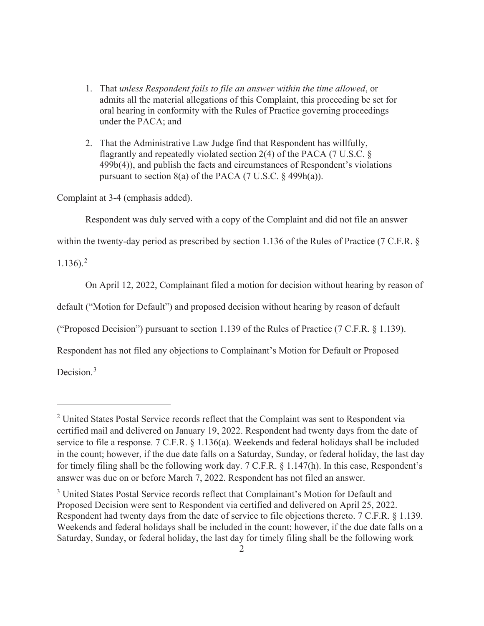- 1. That *unless Respondent fails to file an answer within the time allowed*, or admits all the material allegations of this Complaint, this proceeding be set for oral hearing in conformity with the Rules of Practice governing proceedings under the PACA; and
- 2. That the Administrative Law Judge find that Respondent has willfully, flagrantly and repeatedly violated section 2(4) of the PACA (7 U.S.C. § 499b(4)), and publish the facts and circumstances of Respondent's violations pursuant to section  $8(a)$  of the PACA (7 U.S.C. § 499h(a)).

Complaint at 3-4 (emphasis added).

Respondent was duly served with a copy of the Complaint and did not file an answer

within the twenty-day period as prescribed by section 1.136 of the Rules of Practice (7 C.F.R. §

 $1.136$ ).<sup>2</sup>

On April 12, 2022, Complainant filed a motion for decision without hearing by reason of

default ("Motion for Default") and proposed decision without hearing by reason of default

("Proposed Decision") pursuant to section 1.139 of the Rules of Practice (7 C.F.R. § 1.139).

Respondent has not filed any objections to Complainant's Motion for Default or Proposed

Decision.<sup>3</sup>

 $2$  United States Postal Service records reflect that the Complaint was sent to Respondent via certified mail and delivered on January 19, 2022. Respondent had twenty days from the date of service to file a response. 7 C.F.R. § 1.136(a). Weekends and federal holidays shall be included in the count; however, if the due date falls on a Saturday, Sunday, or federal holiday, the last day for timely filing shall be the following work day. 7 C.F.R. § 1.147(h). In this case, Respondent's answer was due on or before March 7, 2022. Respondent has not filed an answer.

<sup>&</sup>lt;sup>3</sup> United States Postal Service records reflect that Complainant's Motion for Default and Proposed Decision were sent to Respondent via certified and delivered on April 25, 2022. Respondent had twenty days from the date of service to file objections thereto. 7 C.F.R. § 1.139. Weekends and federal holidays shall be included in the count; however, if the due date falls on a Saturday, Sunday, or federal holiday, the last day for timely filing shall be the following work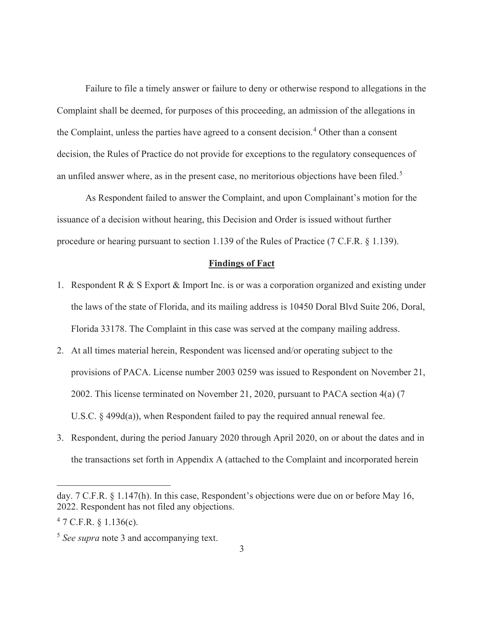Failure to file a timely answer or failure to deny or otherwise respond to allegations in the Complaint shall be deemed, for purposes of this proceeding, an admission of the allegations in the Complaint, unless the parties have agreed to a consent decision.<sup>4</sup> Other than a consent decision, the Rules of Practice do not provide for exceptions to the regulatory consequences of an unfiled answer where, as in the present case, no meritorious objections have been filed.<sup>5</sup>

 As Respondent failed to answer the Complaint, and upon Complainant's motion for the issuance of a decision without hearing, this Decision and Order is issued without further procedure or hearing pursuant to section 1.139 of the Rules of Practice (7 C.F.R. § 1.139).

#### **Findings of Fact**

- 1. Respondent R & S Export & Import Inc. is or was a corporation organized and existing under the laws of the state of Florida, and its mailing address is 10450 Doral Blvd Suite 206, Doral, Florida 33178. The Complaint in this case was served at the company mailing address.
- 2. At all times material herein, Respondent was licensed and/or operating subject to the provisions of PACA. License number 2003 0259 was issued to Respondent on November 21, 2002. This license terminated on November 21, 2020, pursuant to PACA section 4(a) (7 U.S.C. § 499d(a)), when Respondent failed to pay the required annual renewal fee.
- 3. Respondent, during the period January 2020 through April 2020, on or about the dates and in the transactions set forth in Appendix A (attached to the Complaint and incorporated herein

day. 7 C.F.R. § 1.147(h). In this case, Respondent's objections were due on or before May 16, 2022. Respondent has not filed any objections.

 $47$  C.F.R. § 1.136(c).

<sup>5</sup> *See supra* note 3 and accompanying text.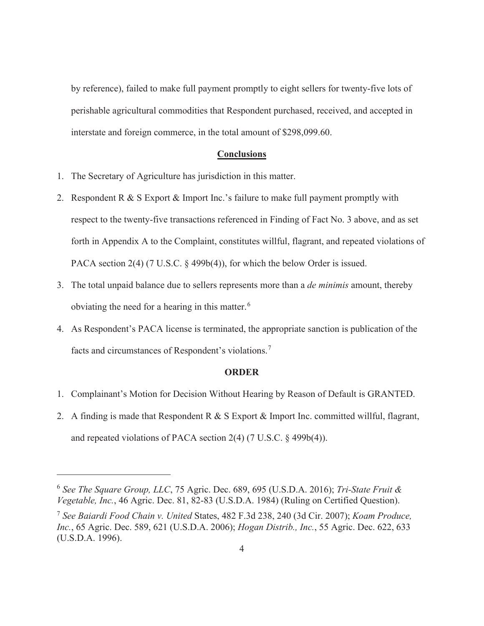by reference), failed to make full payment promptly to eight sellers for twenty-five lots of perishable agricultural commodities that Respondent purchased, received, and accepted in interstate and foreign commerce, in the total amount of \$298,099.60.

### **Conclusions**

- 1. The Secretary of Agriculture has jurisdiction in this matter.
- 2. Respondent R & S Export & Import Inc.'s failure to make full payment promptly with respect to the twenty-five transactions referenced in Finding of Fact No. 3 above, and as set forth in Appendix A to the Complaint, constitutes willful, flagrant, and repeated violations of PACA section 2(4) (7 U.S.C. § 499b(4)), for which the below Order is issued.
- 3. The total unpaid balance due to sellers represents more than a *de minimis* amount, thereby obviating the need for a hearing in this matter.<sup>6</sup>
- 4. As Respondent's PACA license is terminated, the appropriate sanction is publication of the facts and circumstances of Respondent's violations.<sup>7</sup>

### **ORDER**

- 1. Complainant's Motion for Decision Without Hearing by Reason of Default is GRANTED.
- 2. A finding is made that Respondent R & S Export & Import Inc. committed willful, flagrant, and repeated violations of PACA section 2(4) (7 U.S.C. § 499b(4)).

<sup>6</sup> *See The Square Group, LLC*, 75 Agric. Dec. 689, 695 (U.S.D.A. 2016); *Tri-State Fruit & Vegetable, Inc.*, 46 Agric. Dec. 81, 82-83 (U.S.D.A. 1984) (Ruling on Certified Question).

<sup>7</sup> *See Baiardi Food Chain v. United* States, 482 F.3d 238, 240 (3d Cir. 2007); *Koam Produce, Inc.*, 65 Agric. Dec. 589, 621 (U.S.D.A. 2006); *Hogan Distrib., Inc.*, 55 Agric. Dec. 622, 633 (U.S.D.A. 1996).